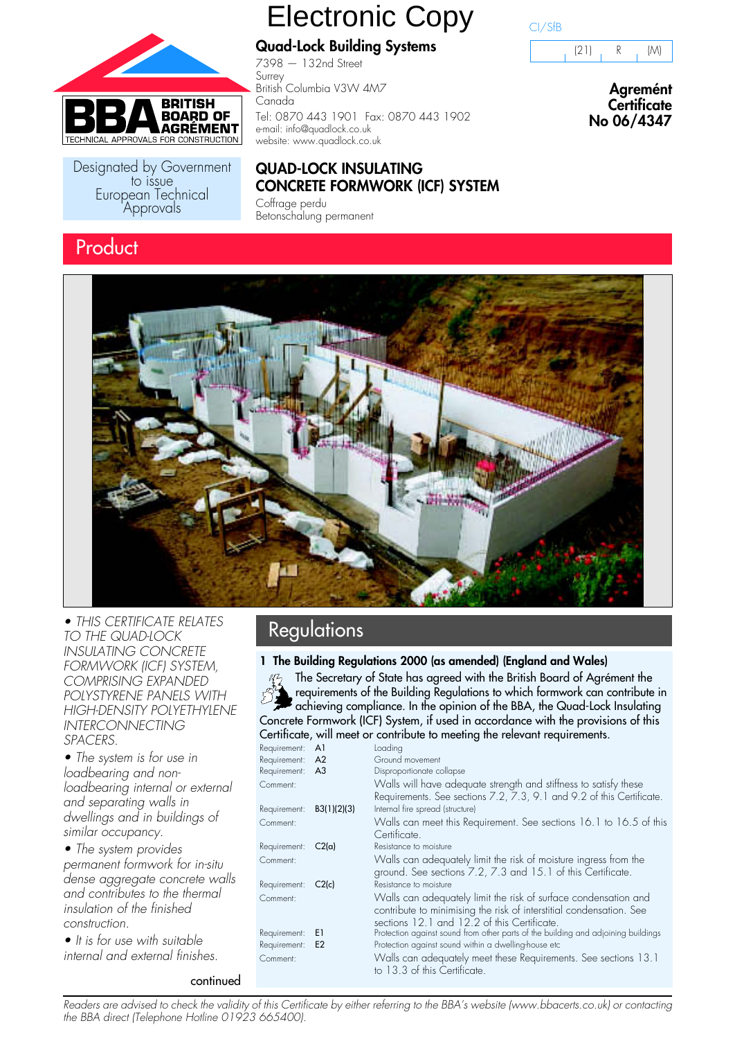

Designated by Government<br>to issue European Technical Approvals

### **Product**

# Electronic Copy

**Quad-Lock Building Systems**

7398 — 132nd Street Surrey British Columbia V3W 4M7 Canada Tel: 0870 443 1901 Fax: 0870 443 1902 e-mail: info@quadlock.co.uk website: www.quadlock.co.uk

#### **QUAD-LOCK INSULATING CONCRETE FORMWORK (ICF) SYSTEM**

Coffrage perdu Betonschalung permanent

### CI/SfB



**Agremént Certificate No 06/4347**



• THIS CERTIFICATE RELATES **Regulations** TO THE QUAD-LOCK INSULATING CONCRETE FORMWORK (ICF) SYSTEM, COMPRISING EXPANDED POLYSTYRENE PANELS WITH HIGH-DENSITY POLYETHYLENE INTERCONNECTING SPACERS.

• The system is for use in loadbearing and nonloadbearing internal or external and separating walls in dwellings and in buildings of similar occupancy.

• The system provides permanent formwork for in-situ dense aggregate concrete walls and contributes to the thermal insulation of the finished construction.

continued

• It is for use with suitable internal and external finishes.

#### **1 The Building Regulations 2000 (as amended) (England and Wales)**

The Secretary of State has agreed with the British Board of Agrément the requirements of the Building Regulations to which formwork can contribute in achieving compliance. In the opinion of the BBA, the Quad-Lock Insulating Concrete Formwork (ICF) System, if used in accordance with the provisions of this Certificate, will meet or contribute to meeting the relevant requirements.

| Requirement: A1 |                | Loading                                                                                                                                                                               |
|-----------------|----------------|---------------------------------------------------------------------------------------------------------------------------------------------------------------------------------------|
| Requirement: A2 |                | Ground movement                                                                                                                                                                       |
| Requirement: A3 |                | Disproportionate collapse                                                                                                                                                             |
| Comment:        |                | Walls will have adequate strength and stiffness to satisfy these<br>Requirements. See sections 7.2, 7.3, 9.1 and 9.2 of this Certificate.                                             |
| Requirement:    | B3(1)(2)(3)    | Internal fire spread (structure)                                                                                                                                                      |
| Comment:        |                | Walls can meet this Requirement. See sections 16.1 to 16.5 of this<br>Certificate.                                                                                                    |
| Requirement:    | C2(a)          | Resistance to moisture                                                                                                                                                                |
| Comment:        |                | Walls can adequately limit the risk of moisture ingress from the<br>ground. See sections 7.2, 7.3 and 15.1 of this Certificate.                                                       |
| Requirement:    | C2(c)          | Resistance to moisture                                                                                                                                                                |
| Comment:        |                | Walls can adequately limit the risk of surface condensation and<br>contribute to minimising the risk of interstitial condensation. See<br>sections 12.1 and 12.2 of this Certificate. |
| Requirement:    | E1             | Protection against sound from other parts of the building and adjoining buildings                                                                                                     |
| Requirement:    | E <sub>2</sub> | Protection against sound within a dwelling-house etc                                                                                                                                  |
| Comment:        |                | Walls can adequately meet these Requirements. See sections 13.1<br>to 13.3 of this Certificate.                                                                                       |

Readers are advised to check the validity of this Certificate by either referring to the BBA's website (www.bbacerts.co.uk) or contacting the BBA direct (Telephone Hotline 01923 665400).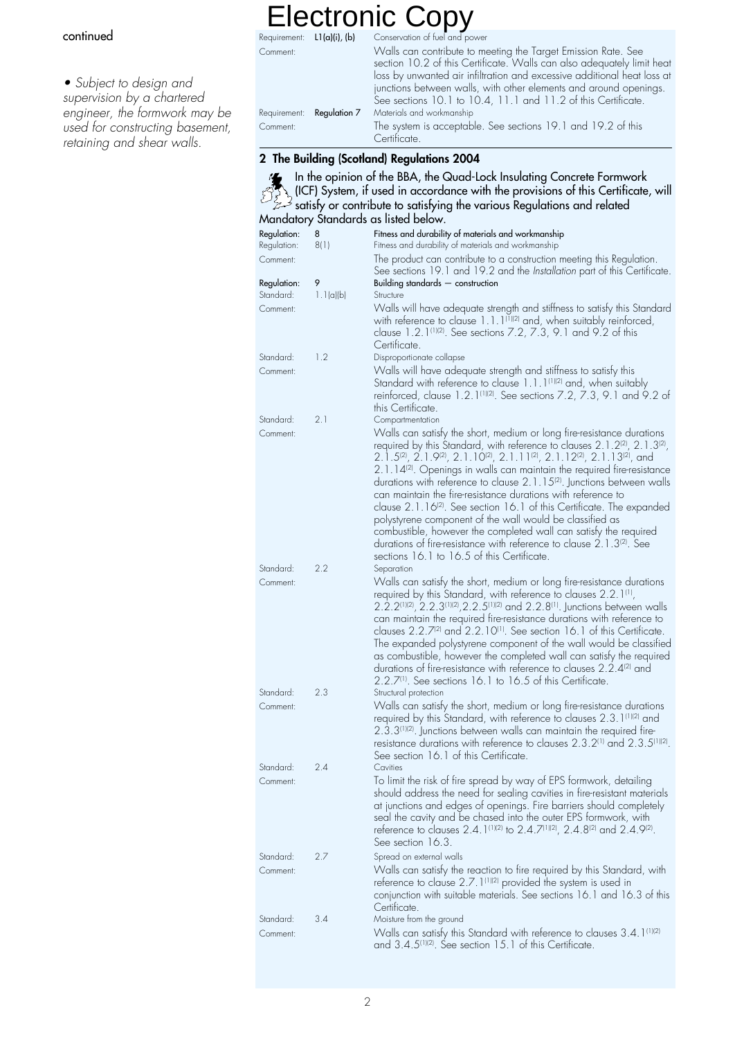#### continued

• Subject to design and supervision by a chartered engineer, the formwork may be used for constructing basement, retaining and shear walls.

Requirement:  $\;$  **L1(a)(i), (b)** Conservation of fuel and power Comment: Walls can contribute to meeting the Target Emission Rate. See section 10.2 of this Certificate. Walls can also adequately limit heat loss by unwanted air infiltration and excessive additional heat loss at junctions between walls, with other elements and around openings. See sections 10.1 to 10.4, 11.1 and 11.2 of this Certificate. Requirement: Regulation 7 Materials and workmanship Comment: The system is acceptable. See sections 19.1 and 19.2 of this **Certificate 2 The Building (Scotland) Regulations 2004** In the opinion of the BBA, the Quad-Lock Insulating Concrete Formwork (ICF) System, if used in accordance with the provisions of this Certificate, will satisfy or contribute to satisfying the various Regulations and related Mandatory Standards as listed below.<br>Regulation: 8 Fitness and durabilit Regulation: 8 Fitness and durability of materials and workmanship<br>Regulation: 8(1) Fitness and durability of materials and workmanship 8(1) Fitness and durability of materials and workmanship Comment: The product can contribute to a construction meeting this Regulation. See sections 19.1 and 19.2 and the Installation part of this Certificate. Regulation: 9 Building standards — construction Standard: 1.1(a)(b) Structure Comment: Walls will have adequate strength and stiffness to satisfy this Standard with reference to clause 1.1.1<sup>(1)(2)</sup> and, when suitably reinforced, clause 1.2.1(1)(2). See sections 7.2, 7.3, 9.1 and 9.2 of this Certificate. Standard: 1.2 Disproportionate collapse Comment: Walls will have adequate strength and stiffness to satisfy this Standard with reference to clause 1.1.1<sup>(1)(2)</sup> and, when suitably reinforced, clause 1.2.1<sup>(1)(2)</sup>. See sections 7.2, 7.3, 9.1 and 9.2 of this Certificate. Standard: 2.1 Compartmentation Comment: Walls can satisfy the short, medium or long fire-resistance durations required by this Standard, with reference to clauses 2.1.2<sup>(2)</sup>, 2.1.3<sup>(2)</sup>, 2.1.5<sup>(2)</sup>, 2.1.9<sup>(2)</sup>, 2.1.10<sup>(2)</sup>, 2.1.11<sup>(2)</sup>, 2.1.12<sup>(2)</sup>, 2.1.13<sup>(2)</sup>, and 2.1.14<sup>(2)</sup>. Openings in walls can maintain the required fire-resistance durations with reference to clause 2.1.15<sup>(2)</sup>. Junctions between walls can maintain the fire-resistance durations with reference to clause 2.1.16<sup>(2)</sup>. See section 16.1 of this Certificate. The expanded polystyrene component of the wall would be classified as combustible, however the completed wall can satisfy the required durations of fire-resistance with reference to clause 2.1.3<sup>(2)</sup>. See sections 16.1 to 16.5 of this Certificate.<br>Separation Standard: 2.2 Comment: Walls can satisfy the short, medium or long fire-resistance durations required by this Standard, with reference to clauses 2.2.1(1),  $2.2.2^{(1)(2)}$ ,  $2.2.3^{(1)(2)}$ ,  $2.2.5^{(1)(2)}$  and  $2.2.8^{(1)}$ . Junctions between walls can maintain the required fire-resistance durations with reference to clauses 2.2.7<sup>(2)</sup> and 2.2.10<sup>(1)</sup>. See section 16.1 of this Certificate. Electronic Copy

The expanded polystyrene component of the wall would be classified as combustible, however the completed wall can satisfy the required durations of fire-resistance with reference to clauses 2.2.4<sup>(2)</sup> and 2.2.7(1). See sections 16.1 to 16.5 of this Certificate. Standard: 2.3 Structural protection Comment: Walls can satisfy the short, medium or long fire-resistance durations required by this Standard, with reference to clauses 2.3.1(1)(2) and  $2.3.3^{[1][2]}$ . Junctions between walls can maintain the required fireresistance durations with reference to clauses 2.3.2(1) and 2.3.5(1)(2). See section 16.1 of this Certificate. Standard: 2.4 Cavities Comment: To limit the risk of fire spread by way of EPS formwork, detailing should address the need for sealing cavities in fire-resistant materials at junctions and edges of openings. Fire barriers should completely seal the cavity and be chased into the outer EPS formwork, with reference to clauses 2.4.1<sup>(1)(2)</sup> to 2.4.7<sup>(1)(2)</sup>, 2.4.8<sup>(2)</sup> and 2.4.9<sup>(2)</sup>. See section 16.3 Standard: 2.7 Spread on external walls Comment: Walls can satisfy the reaction to fire required by this Standard, with reference to clause 2.7.1(1)(2) provided the system is used in conjunction with suitable materials. See sections 16.1 and 16.3 of this Certificate. Standard: 3.4 Moisture from the ground Comment: Walls can satisfy this Standard with reference to clauses 3.4.1<sup>(1)(2)</sup> and 3.4.5<sup>(1)(2)</sup>. See section 15.1 of this Certificate.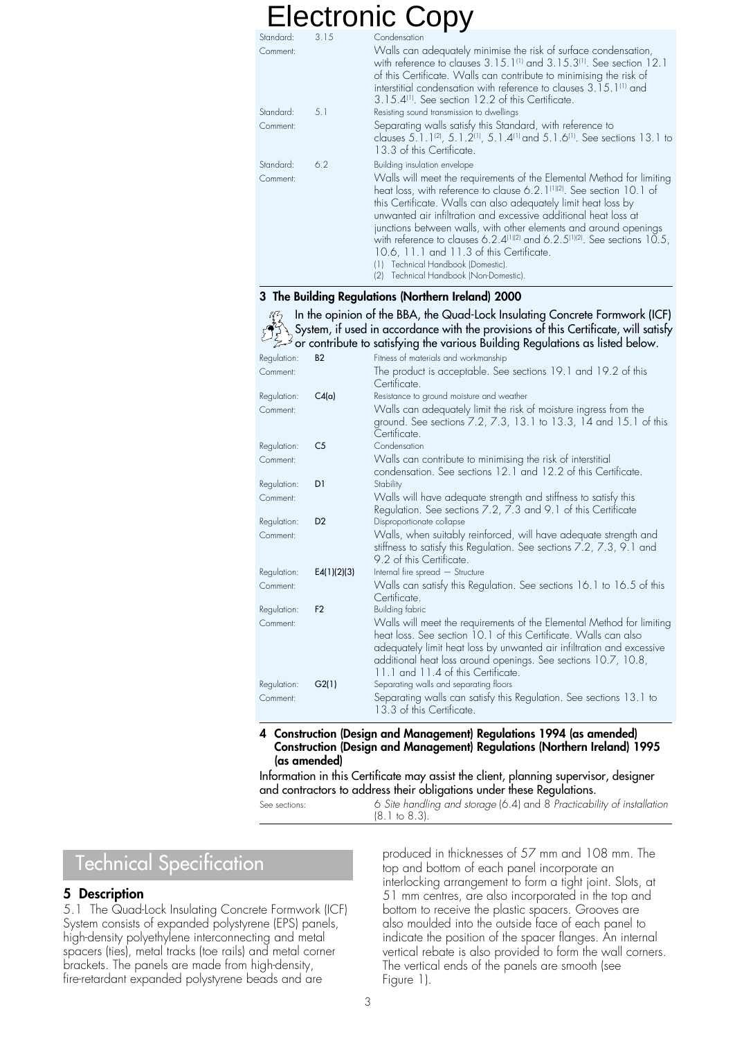| Standard: | 3.15 | Condensation                                                                                                                                                                                                                                                                                                                                                                                                                                                                                                                                                                                        |
|-----------|------|-----------------------------------------------------------------------------------------------------------------------------------------------------------------------------------------------------------------------------------------------------------------------------------------------------------------------------------------------------------------------------------------------------------------------------------------------------------------------------------------------------------------------------------------------------------------------------------------------------|
| Comment:  |      | Walls can adequately minimise the risk of surface condensation,<br>with reference to clauses 3.15.1 <sup>(1)</sup> and 3.15.3 <sup>(1)</sup> . See section 12.1<br>of this Certificate. Walls can contribute to minimising the risk of<br>interstitial condensation with reference to clauses 3.15.1 <sup>(1)</sup> and<br>3.15.4 <sup>(1)</sup> . See section 12.2 of this Certificate.                                                                                                                                                                                                            |
| Standard: | 5.1  | Resisting sound transmission to dwellings                                                                                                                                                                                                                                                                                                                                                                                                                                                                                                                                                           |
| Comment:  |      | Separating walls satisfy this Standard, with reference to<br>clauses 5.1.1 <sup>(2)</sup> , 5.1.2 <sup>(1)</sup> , 5.1.4 <sup>(1)</sup> and 5.1.6 <sup>(1)</sup> . See sections 13.1 to<br>13.3 of this Certificate.                                                                                                                                                                                                                                                                                                                                                                                |
| Standard: | 6.2  | Building insulation envelope                                                                                                                                                                                                                                                                                                                                                                                                                                                                                                                                                                        |
| Comment:  |      | Walls will meet the requirements of the Elemental Method for limiting<br>heat loss, with reference to clause 6.2.1 <sup>(1)</sup> <sup>2)</sup> . See section 10.1 of<br>this Certificate. Walls can also adequately limit heat loss by<br>unwanted air infiltration and excessive additional heat loss at<br>junctions between walls, with other elements and around openings<br>with reference to clauses 6.2.4 $^{111/21}$ and 6.2.5 $^{111/21}$ . See sections 10.5,<br>10.6, 11.1 and 11.3 of this Certificate.<br>Technical Handbook (Domestic).<br>Technical Handbook (Non-Domestic).<br>(2) |

#### **3 The Building Regulations (Northern Ireland) 2000**

In the opinion of the BBA, the Quad-Lock Insulating Concrete Formwork (ICF)  $\lambda$  System, if used in accordance with the provisions of this Certificate, will satisfy or contribute to satisfying the various Building Regulations as listed below.

| Regulation: | <b>B2</b>      | Fitness of materials and workmanship                                                                                                                                                                                                                                                                                      |
|-------------|----------------|---------------------------------------------------------------------------------------------------------------------------------------------------------------------------------------------------------------------------------------------------------------------------------------------------------------------------|
| Comment:    |                | The product is acceptable. See sections 19.1 and 19.2 of this<br>Certificate.                                                                                                                                                                                                                                             |
| Regulation: | C4(a)          | Resistance to ground moisture and weather                                                                                                                                                                                                                                                                                 |
| Comment:    |                | Walls can adequately limit the risk of moisture ingress from the<br>ground. See sections 7.2, 7.3, 13.1 to 13.3, 14 and 15.1 of this<br>Certificate.                                                                                                                                                                      |
| Regulation: | C <sub>5</sub> | Condensation                                                                                                                                                                                                                                                                                                              |
| Comment:    |                | Walls can contribute to minimising the risk of interstitial<br>condensation. See sections 12.1 and 12.2 of this Certificate.                                                                                                                                                                                              |
| Regulation: | D <sub>1</sub> | Stability                                                                                                                                                                                                                                                                                                                 |
| Comment:    |                | Walls will have adequate strength and stiffness to satisfy this<br>Regulation. See sections 7.2, 7.3 and 9.1 of this Certificate                                                                                                                                                                                          |
| Regulation: | D <sub>2</sub> | Disproportionate collapse                                                                                                                                                                                                                                                                                                 |
| Comment:    |                | Walls, when suitably reinforced, will have adequate strength and<br>stiffness to satisfy this Regulation. See sections 7.2, 7.3, 9.1 and<br>9.2 of this Certificate.                                                                                                                                                      |
| Regulation: | E4(1)(2)(3)    | Internal fire spread - Structure                                                                                                                                                                                                                                                                                          |
| Comment:    |                | Walls can satisty this Regulation. See sections 16.1 to 16.5 of this<br>Certificate.                                                                                                                                                                                                                                      |
| Regulation: | F <sub>2</sub> | Building fabric                                                                                                                                                                                                                                                                                                           |
| Comment:    |                | Walls will meet the requirements of the Elemental Method for limiting<br>heat loss. See section 10.1 of this Certificate. Walls can also<br>adequately limit heat loss by unwanted air infiltration and excessive<br>additional heat loss around openings. See sections 10.7, 10.8,<br>11.1 and 11.4 of this Certificate. |
| Regulation: | G2(1)          | Separating walls and separating floors                                                                                                                                                                                                                                                                                    |
| Comment:    |                | Separating walls can satisfy this Regulation. See sections 13.1 to<br>13.3 of this Certificate.                                                                                                                                                                                                                           |

#### **4 Construction (Design and Management) Regulations 1994 (as amended) Construction (Design and Management) Regulations (Northern Ireland) 1995 (as amended)**

Information in this Certificate may assist the client, planning supervisor, designer and contractors to address their obligations under these Regulations.

See sections: 6 Site handling and storage (6.4) and 8 Practicability of installation (8.1 to 8.3).

### Technical Specification

#### **5 Description**

5.1 The Quad-Lock Insulating Concrete Formwork (ICF) System consists of expanded polystyrene (EPS) panels, high-density polyethylene interconnecting and metal spacers (ties), metal tracks (toe rails) and metal corner brackets. The panels are made from high-density, fire-retardant expanded polystyrene beads and are

produced in thicknesses of 57 mm and 108 mm. The top and bottom of each panel incorporate an interlocking arrangement to form a tight joint. Slots, at 51 mm centres, are also incorporated in the top and bottom to receive the plastic spacers. Grooves are also moulded into the outside face of each panel to indicate the position of the spacer flanges. An internal vertical rebate is also provided to form the wall corners. The vertical ends of the panels are smooth (see Figure 1).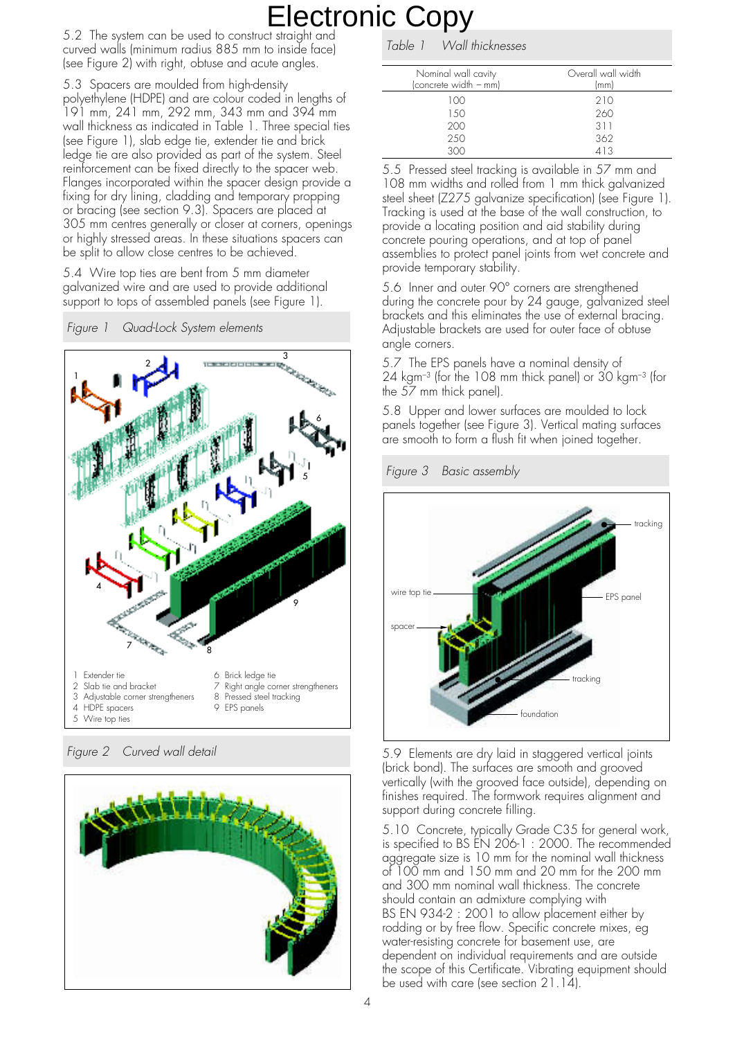5.2 The system can be used to construct straight and curved walls (minimum radius 885 mm to inside face) (see Figure 2) with right, obtuse and acute angles.

5.3 Spacers are moulded from high-density polyethylene (HDPE) and are colour coded in lengths of 191 mm, 241 mm, 292 mm, 343 mm and 394 mm wall thickness as indicated in Table 1. Three special ties (see Figure 1), slab edge tie, extender tie and brick ledge tie are also provided as part of the system. Steel reinforcement can be fixed directly to the spacer web. Flanges incorporated within the spacer design provide a fixing for dry lining, cladding and temporary propping or bracing (see section 9.3). Spacers are placed at 305 mm centres generally or closer at corners, openings or highly stressed areas. In these situations spacers can be split to allow close centres to be achieved.

5.4 Wire top ties are bent from 5 mm diameter galvanized wire and are used to provide additional support to tops of assembled panels (see Figure 1).





Figure 2 Curved wall detail



Table 1 Wall thicknesses

| Nominal wall cavity<br>(concrete width - mm) | Overall wall width<br>(mm) |
|----------------------------------------------|----------------------------|
| 100                                          | 210                        |
| 1.50                                         | 260                        |
| 200                                          | 311                        |
| 250                                          | 362                        |
| 300                                          | 413                        |

5.5 Pressed steel tracking is available in 57 mm and 108 mm widths and rolled from 1 mm thick galvanized steel sheet (Z275 galvanize specification) (see Figure 1). Tracking is used at the base of the wall construction, to provide a locating position and aid stability during concrete pouring operations, and at top of panel assemblies to protect panel joints from wet concrete and provide temporary stability.

5.6 Inner and outer 90° corners are strengthened during the concrete pour by 24 gauge, galvanized steel brackets and this eliminates the use of external bracing. Adjustable brackets are used for outer face of obtuse angle corners.

5.7 The EPS panels have a nominal density of 24 kgm–3 (for the 108 mm thick panel) or 30 kgm–3 (for the 57 mm thick panel).

5.8 Upper and lower surfaces are moulded to lock panels together (see Figure 3). Vertical mating surfaces are smooth to form a flush fit when joined together.

Figure 3 Basic assembly



5.9 Elements are dry laid in staggered vertical joints (brick bond). The surfaces are smooth and grooved vertically (with the grooved face outside), depending on finishes required. The formwork requires alignment and support during concrete filling.

5.10 Concrete, typically Grade C35 for general work, is specified to BS EN 206-1 : 2000. The recommended aggregate size is 10 mm for the nominal wall thickness of 100 mm and 150 mm and 20 mm for the 200 mm and 300 mm nominal wall thickness. The concrete should contain an admixture complying with BS EN 934-2 : 2001 to allow placement either by rodding or by free flow. Specific concrete mixes, eg water-resisting concrete for basement use, are dependent on individual requirements and are outside the scope of this Certificate. Vibrating equipment should be used with care (see section 21.14).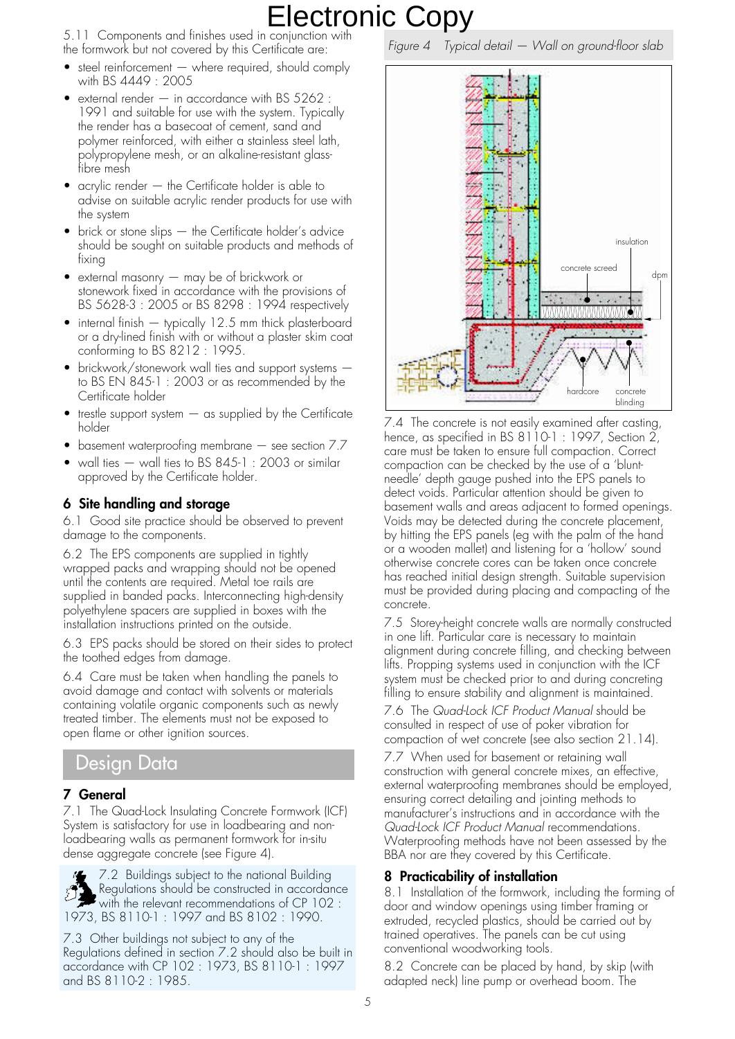5.11 Components and finishes used in conjunction with the formwork but not covered by this Certificate are:

- steel reinforcement  $-$  where required, should comply with BS 4449 : 2005
- external render  $-$  in accordance with BS 5262 : 1991 and suitable for use with the system. Typically the render has a basecoat of cement, sand and polymer reinforced, with either a stainless steel lath, polypropylene mesh, or an alkaline-resistant glassfibre mesh
- acrylic render the Certificate holder is able to advise on suitable acrylic render products for use with the system
- brick or stone slips the Certificate holder's advice should be sought on suitable products and methods of fixing
- external masonry may be of brickwork or stonework fixed in accordance with the provisions of BS 5628-3 : 2005 or BS 8298 : 1994 respectively
- internal finish typically 12.5 mm thick plasterboard or a dry-lined finish with or without a plaster skim coat conforming to BS 8212 : 1995.
- brickwork/stonework wall ties and support systems to BS EN 845-1 : 2003 or as recommended by the Certificate holder
- trestle support system  $-$  as supplied by the Certificate holder
- basement waterproofing membrane see section 7.7
- wall ties wall ties to BS 845-1 : 2003 or similar approved by the Certificate holder.

#### **6 Site handling and storage**

6.1 Good site practice should be observed to prevent damage to the components.

6.2 The EPS components are supplied in tightly wrapped packs and wrapping should not be opened until the contents are required. Metal toe rails are supplied in banded packs. Interconnecting high-density polyethylene spacers are supplied in boxes with the installation instructions printed on the outside.

6.3 EPS packs should be stored on their sides to protect the toothed edges from damage.

6.4 Care must be taken when handling the panels to avoid damage and contact with solvents or materials containing volatile organic components such as newly treated timber. The elements must not be exposed to open flame or other ignition sources.

### Design Data

#### **7 General**

7.1 The Quad-Lock Insulating Concrete Formwork (ICF) System is satisfactory for use in loadbearing and nonloadbearing walls as permanent formwork for in-situ dense aggregate concrete (see Figure 4).

7.2 Buildings subject to the national Building Regulations should be constructed in accordance  $\blacktriangleright$  with the relevant recommendations of CP 102 : 1973, BS 8110-1 : 1997 and BS 8102 : 1990.

7.3 Other buildings not subject to any of the Regulations defined in section 7.2 should also be built in accordance with CP 102 : 1973, BS 8110-1 : 1997 and BS 8110-2 : 1985.

Figure 4 Typical detail — Wall on ground-floor slab



7.4 The concrete is not easily examined after casting, hence, as specified in BS 8110-1 : 1997, Section 2, care must be taken to ensure full compaction. Correct compaction can be checked by the use of a 'bluntneedle' depth gauge pushed into the EPS panels to detect voids. Particular attention should be given to basement walls and areas adjacent to formed openings. Voids may be detected during the concrete placement, by hitting the EPS panels (eg with the palm of the hand or a wooden mallet) and listening for a 'hollow' sound otherwise concrete cores can be taken once concrete has reached initial design strength. Suitable supervision must be provided during placing and compacting of the concrete.

7.5 Storey-height concrete walls are normally constructed in one lift. Particular care is necessary to maintain alignment during concrete filling, and checking between lifts. Propping systems used in conjunction with the ICF system must be checked prior to and during concreting filling to ensure stability and alignment is maintained.

7.6 The Quad-Lock ICF Product Manual should be consulted in respect of use of poker vibration for compaction of wet concrete (see also section 21.14).

7.7 When used for basement or retaining wall construction with general concrete mixes, an effective, external waterproofing membranes should be employed, ensuring correct detailing and jointing methods to manufacturer's instructions and in accordance with the Quad-Lock ICF Product Manual recommendations. Waterproofing methods have not been assessed by the BBA nor are they covered by this Certificate.

#### **8 Practicability of installation**

8.1 Installation of the formwork, including the forming of door and window openings using timber framing or extruded, recycled plastics, should be carried out by trained operatives. The panels can be cut using conventional woodworking tools.

8.2 Concrete can be placed by hand, by skip (with adapted neck) line pump or overhead boom. The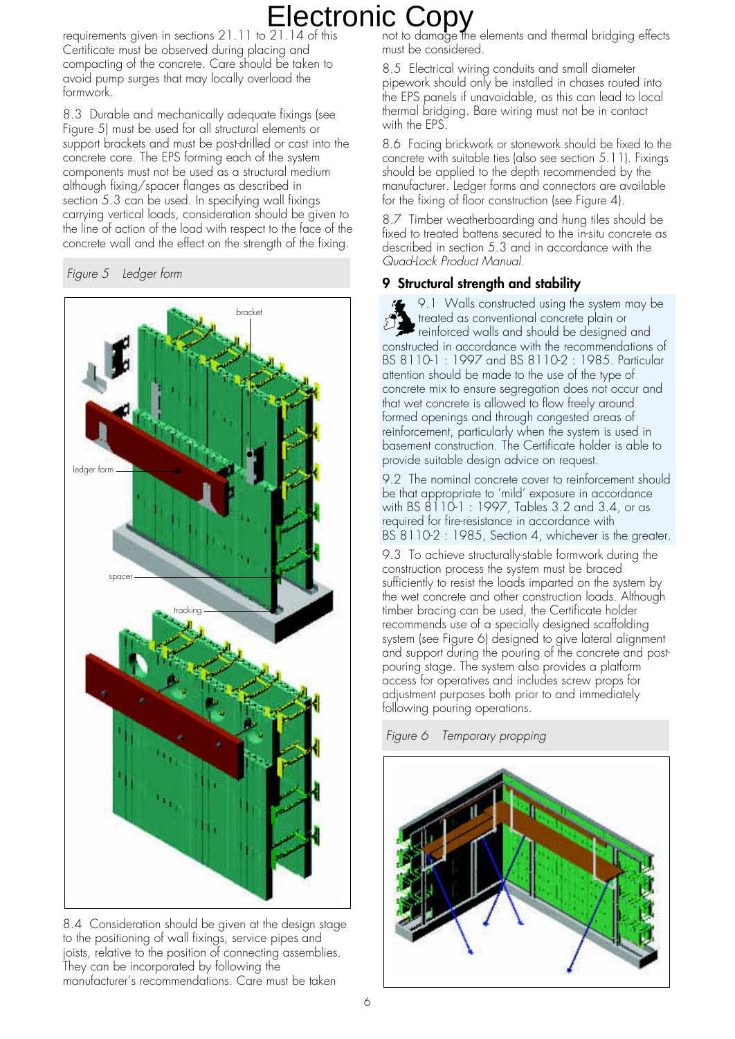requirements given in sections 21.11 to 21.14 of this Certificate must be observed during placing and compacting of the concrete. Care should be taken to avoid pump surges that may locally overload the formwork.

8.3 Durable and mechanically adequate fixings (see Figure 5) must be used for all structural elements or support brackets and must be post-drilled or cast into the concrete core. The EPS forming each of the system components must not be used as a structural medium although fixing/spacer flanges as described in section 5.3 can be used. In specifying wall fixings carrying vertical loads, consideration should be given to the line of action of the load with respect to the face of the concrete wall and the effect on the strength of the fixing.





8.4 Consideration should be given at the design stage to the positioning of wall fixings, service pipes and joists, relative to the position of connecting assemblies. They can be incorporated by following the manufacturer's recommendations. Care must be taken

not to damage the elements and thermal bridging effects must be considered.

8.5 Electrical wiring conduits and small diameter pipework should only be installed in chases routed into the EPS panels if unavoidable, as this can lead to local thermal bridging. Bare wiring must not be in contact with the EPS.

8.6 Facing brickwork or stonework should be fixed to the concrete with suitable ties (also see section 5.11). Fixings should be applied to the depth recommended by the manufacturer. Ledger forms and connectors are available for the fixing of floor construction (see Figure 4).

8.7 Timber weatherboarding and hung tiles should be fixed to treated battens secured to the in-situ concrete as described in section 5.3 and in accordance with the Quad-Lock Product Manual.

#### **9 Structural strength and stability**

9.1 Walls constructed using the system may be treated as conventional concrete plain or reinforced walls and should be designed and constructed in accordance with the recommendations of BS 8110-1 : 1997 and BS 8110-2 : 1985. Particular attention should be made to the use of the type of concrete mix to ensure segregation does not occur and that wet concrete is allowed to flow freely around formed openings and through congested areas of reinforcement, particularly when the system is used in basement construction. The Certificate holder is able to provide suitable design advice on request.

9.2 The nominal concrete cover to reinforcement should be that appropriate to 'mild' exposure in accordance with BS 8110-1 : 1997, Tables 3.2 and 3.4, or as required for fire-resistance in accordance with BS 8110-2 : 1985, Section 4, whichever is the greater.

9.3 To achieve structurally-stable formwork during the construction process the system must be braced sufficiently to resist the loads imparted on the system by the wet concrete and other construction loads. Although timber bracing can be used, the Certificate holder recommends use of a specially designed scaffolding system (see Figure 6) designed to give lateral alignment and support during the pouring of the concrete and postpouring stage. The system also provides a platform access for operatives and includes screw props for adjustment purposes both prior to and immediately following pouring operations.

Figure 6 Temporary propping

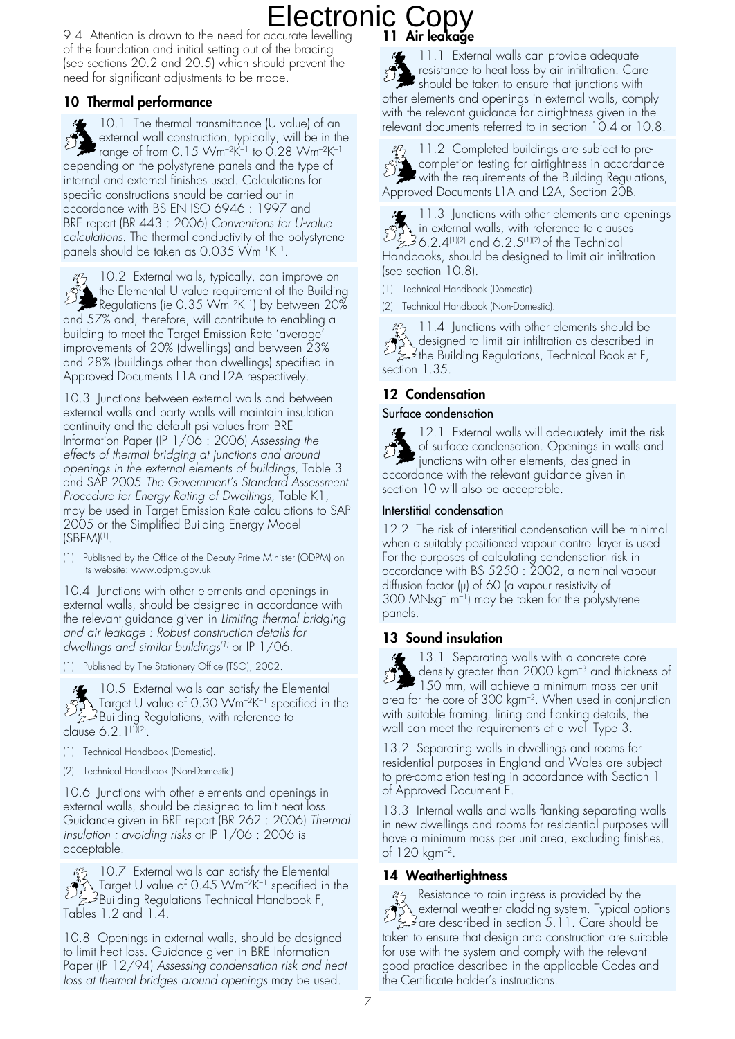### **11 Air leakage** Electronic Copy

9.4 Attention is drawn to the need for accurate levelling of the foundation and initial setting out of the bracing (see sections 20.2 and 20.5) which should prevent the need for significant adjustments to be made.

### **10 Thermal performance**

10.1 The thermal transmittance (U value) of an external wall construction, typically, will be in the  $\sum$  external wall considering the present to 0.28 Wm<sup>-2K–1</sup> to 0.28 Wm<sup>-2K–1</sup> depending on the polystyrene panels and the type of internal and external finishes used. Calculations for specific constructions should be carried out in accordance with BS EN ISO 6946 : 1997 and BRE report (BR 443 : 2006) Conventions for U-value calculations. The thermal conductivity of the polystyrene panels should be taken as 0.035 Wm–1K–1.

10.2 External walls, typically, can improve on the Elemental U value requirement of the Building  $\mathbb{R}^3$  the Elemental U value requirement of  $\mathbb{R}^3$ .<br>Regulations (ie 0.35 Wm<sup>-2K-1</sup>) by between 20% and 57% and, therefore, will contribute to enabling a building to meet the Target Emission Rate 'average' improvements of 20% (dwellings) and between 23% and 28% (buildings other than dwellings) specified in Approved Documents L1A and L2A respectively.

10.3 Junctions between external walls and between external walls and party walls will maintain insulation continuity and the default psi values from BRE Information Paper (IP 1/06 : 2006) Assessing the effects of thermal bridging at junctions and around openings in the external elements of buildings, Table 3 and SAP 2005 The Government's Standard Assessment Procedure for Energy Rating of Dwellings, Table K1, may be used in Target Emission Rate calculations to SAP 2005 or the Simplified Building Energy Model (SBEM)(1).

(1) Published by the Office of the Deputy Prime Minister (ODPM) on its website: www.odpm.gov.uk

10.4 Junctions with other elements and openings in external walls, should be designed in accordance with the relevant guidance given in Limiting thermal bridging and air leakage : Robust construction details for dwellings and similar buildings(1) or IP 1/06.

(1) Published by The Stationery Office (TSO), 2002.

10.5 External walls can satisfy the Elemental Target U value of 0.30 Wm–2K–1 specified in the Building Regulations, with reference to clause 6.2.1<sup>(1)(2)</sup>.

- (1) Technical Handbook (Domestic).
- (2) Technical Handbook (Non-Domestic).

10.6 Junctions with other elements and openings in external walls, should be designed to limit heat loss. Guidance given in BRE report (BR 262 : 2006) Thermal insulation : avoiding risks or IP 1/06 : 2006 is acceptable.

43 10.7 External walls can satisfy the Elemental Target U value of 0.45 Wm–2K–1 specified in the Building Regulations Technical Handbook F, Tables 1.2 and 1.4.

10.8 Openings in external walls, should be designed to limit heat loss. Guidance given in BRE Information Paper (IP 12/94) Assessing condensation risk and heat loss at thermal bridges around openings may be used.

11.1 External walls can provide adequate resistance to heat loss by air infiltration. Care  $\begin{array}{l}\n\mathcal{F} \\
\mathcal{F} \\
\mathcal{F} \\
\mathcal{F}\n\end{array}$  should be taken to ensure that junctions with other elements and openings in external walls, comply with the relevant guidance for airtightness given in the relevant documents referred to in section 10.4 or 10.8.

11.2 Completed buildings are subject to precompletion testing for airtightness in accordance  $\bullet$  with the requirements of the Building Regulations, Approved Documents L1A and L2A, Section 20B.

11.3 Junctions with other elements and openings in external walls, with reference to clauses 6.2.4 $^{\left(1\right)\left(2\right)}$  and 6.2.5 $^{\left(1\right)\left(2\right)}$  of the Technical Handbooks, should be designed to limit air infiltration (see section 10.8).

(1) Technical Handbook (Domestic).

(2) Technical Handbook (Non-Domestic).

11.4 Junctions with other elements should be designed to limit air infiltration as described in the Building Regulations, Technical Booklet F, section 1.35.

#### **12 Condensation**

#### Surface condensation

12.1 External walls will adequately limit the risk of surface condensation. Openings in walls and  $\mathbb{Z}$ junctions with other elements, designed in accordance with the relevant guidance given in section 10 will also be acceptable.

#### Interstitial condensation

12.2 The risk of interstitial condensation will be minimal when a suitably positioned vapour control layer is used. For the purposes of calculating condensation risk in accordance with BS 5250 : 2002, a nominal vapour diffusion factor  $(\mu)$  of 60 (a vapour resistivity of 300 MNsg–1m–1) may be taken for the polystyrene panels.

#### **13 Sound insulation**

13.1 Separating walls with a concrete core density greater than 2000 kgm–3 and thickness of density greater man zood again.<br>150 mm, will achieve a minimum mass per unit area for the core of 300 kgm–2. When used in conjunction with suitable framing, lining and flanking details, the wall can meet the requirements of a wall Type 3.

13.2 Separating walls in dwellings and rooms for residential purposes in England and Wales are subject to pre-completion testing in accordance with Section 1 of Approved Document E.

13.3 Internal walls and walls flanking separating walls in new dwellings and rooms for residential purposes will have a minimum mass per unit area, excluding finishes, of 120 kgm–2.

### **14 Weathertightness**

 $\frac{M}{2}$  Resistance to rain ingress is provided by the external weather cladding system. Typical options external weather cladding system. Typical opinion<br>are described in section 5.11. Care should be<br>discussed in the limitian are quitably taken to ensure that design and construction are suitable for use with the system and comply with the relevant good practice described in the applicable Codes and the Certificate holder's instructions.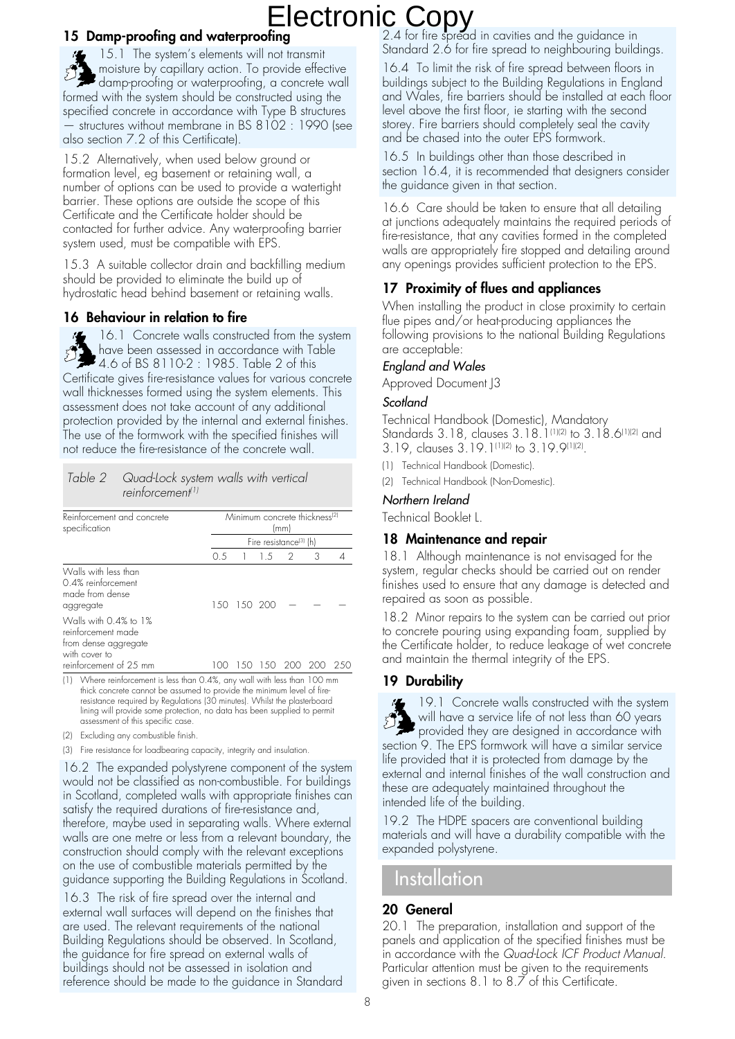#### **15 Damp-proofing and waterproofing**

15.1 The system's elements will not transmit moisture by capillary action. To provide effective moisiure by capitaly action. The concrete wall formed with the system should be constructed using the specified concrete in accordance with Type B structures structures without membrane in BS 8102 : 1990 (see also section 7.2 of this Certificate).

15.2 Alternatively, when used below ground or formation level, eg basement or retaining wall, a number of options can be used to provide a watertight barrier. These options are outside the scope of this Certificate and the Certificate holder should be contacted for further advice. Any waterproofing barrier system used, must be compatible with EPS.

15.3 A suitable collector drain and backfilling medium should be provided to eliminate the build up of hydrostatic head behind basement or retaining walls.

#### **16 Behaviour in relation to fire**

16.1 Concrete walls constructed from the system have been assessed in accordance with Table 4.6 of BS 8110-2 : 1985. Table 2 of this Certificate gives fire-resistance values for various concrete wall thicknesses formed using the system elements. This assessment does not take account of any additional protection provided by the internal and external finishes. The use of the formwork with the specified finishes will not reduce the fire-resistance of the concrete wall.

#### Table 2 Quad-Lock system walls with vertical reinforcement<sup>(1)</sup>

| Reinforcement and concrete<br>specification                                          | Minimum concrete thickness <sup>(2)</sup><br>(mm) |               |               |                   |   |     |  |
|--------------------------------------------------------------------------------------|---------------------------------------------------|---------------|---------------|-------------------|---|-----|--|
|                                                                                      | Fire resistance <sup>(3)</sup> (h)                |               |               |                   |   |     |  |
|                                                                                      | 0.5                                               |               | $1 \t1.5 \t2$ |                   | 3 |     |  |
| Walls with less than<br>0.4% reinforcement<br>made from dense<br>aggregate           |                                                   | 1.50 1.50 200 |               |                   |   |     |  |
| Walls with 0.4% to 1%<br>reinforcement made<br>from dense aggregate<br>with cover to |                                                   |               |               |                   |   |     |  |
| reinforcement of 25 mm                                                               | $( \lambda )$                                     |               |               | 1.50 1.50 200 200 |   | 250 |  |

(1) Where reinforcement is less than 0.4%, any wall with less than 100 mm thick concrete cannot be assumed to provide the minimum level of fireresistance required by Regulations (30 minutes). Whilst the plasterboard lining will provide some protection, no data has been supplied to permit assessment of this specific case.

- (2) Excluding any combustible finish.
- (3) Fire resistance for loadbearing capacity, integrity and insulation.

16.2 The expanded polystyrene component of the system would not be classified as non-combustible. For buildings in Scotland, completed walls with appropriate finishes can satisfy the required durations of fire-resistance and, therefore, maybe used in separating walls. Where external walls are one metre or less from a relevant boundary, the construction should comply with the relevant exceptions on the use of combustible materials permitted by the guidance supporting the Building Regulations in Scotland.

16.3 The risk of fire spread over the internal and external wall surfaces will depend on the finishes that are used. The relevant requirements of the national Building Regulations should be observed. In Scotland, the guidance for fire spread on external walls of buildings should not be assessed in isolation and reference should be made to the guidance in Standard

2.4 for fire spread in cavities and the guidance in Standard 2.6 for fire spread to neighbouring buildings.

16.4 To limit the risk of fire spread between floors in buildings subject to the Building Regulations in England and Wales, fire barriers should be installed at each floor level above the first floor, ie starting with the second storey. Fire barriers should completely seal the cavity and be chased into the outer EPS formwork.

16.5 In buildings other than those described in section 16.4, it is recommended that designers consider the guidance given in that section.

16.6 Care should be taken to ensure that all detailing at junctions adequately maintains the required periods of fire-resistance, that any cavities formed in the completed walls are appropriately fire stopped and detailing around any openings provides sufficient protection to the EPS.

#### **17 Proximity of flues and appliances**

When installing the product in close proximity to certain flue pipes and/or heat-producing appliances the following provisions to the national Building Regulations are acceptable:

#### England and Wales

Approved Document J3

#### **Scotland**

Technical Handbook (Domestic), Mandatory Standards 3.18, clauses 3.18.1<sup>(1)(2)</sup> to 3.18.6<sup>(1)(2)</sup> and 3.19, clauses 3.19.1(1)(2) to 3.19.9(1)(2).

- (1) Technical Handbook (Domestic).
- (2) Technical Handbook (Non-Domestic).

#### Northern Ireland

Technical Booklet L.

#### **18 Maintenance and repair**

18.1 Although maintenance is not envisaged for the system, regular checks should be carried out on render finishes used to ensure that any damage is detected and repaired as soon as possible.

18.2 Minor repairs to the system can be carried out prior to concrete pouring using expanding foam, supplied by the Certificate holder, to reduce leakage of wet concrete and maintain the thermal integrity of the EPS.

#### **19 Durability**



19.1 Concrete walls constructed with the system will have a service life of not less than 60 years provided they are designed in accordance with section 9. The EPS formwork will have a similar service life provided that it is protected from damage by the external and internal finishes of the wall construction and these are adequately maintained throughout the intended life of the building.

19.2 The HDPE spacers are conventional building materials and will have a durability compatible with the expanded polystyrene.

### Installation

#### **20 General**

20.1 The preparation, installation and support of the panels and application of the specified finishes must be in accordance with the Quad-Lock ICF Product Manual. Particular attention must be given to the requirements given in sections 8.1 to 8.7 of this Certificate.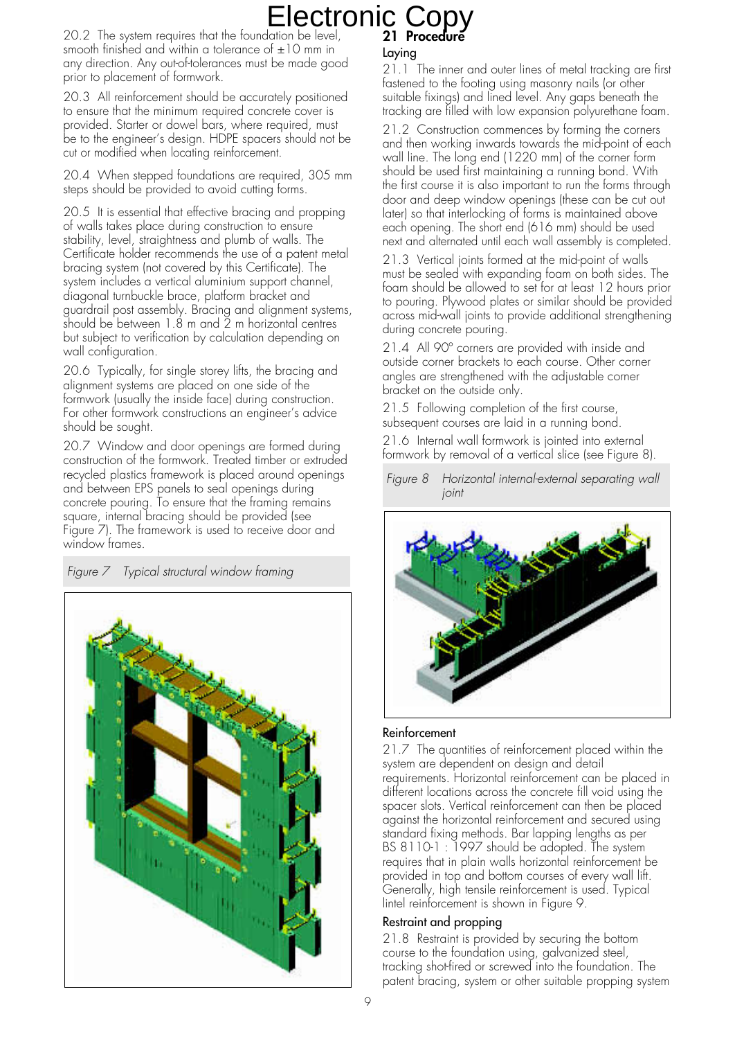### **21 Procedure** Electronic Copy

20.2 The system requires that the foundation be level, smooth finished and within a tolerance of  $\pm 10$  mm in any direction. Any out-of-tolerances must be made good prior to placement of formwork.

20.3 All reinforcement should be accurately positioned to ensure that the minimum required concrete cover is provided. Starter or dowel bars, where required, must be to the engineer's design. HDPE spacers should not be cut or modified when locating reinforcement.

20.4 When stepped foundations are required, 305 mm steps should be provided to avoid cutting forms.

20.5 It is essential that effective bracing and propping of walls takes place during construction to ensure stability, level, straightness and plumb of walls. The Certificate holder recommends the use of a patent metal bracing system (not covered by this Certificate). The system includes a vertical aluminium support channel, diagonal turnbuckle brace, platform bracket and guardrail post assembly. Bracing and alignment systems,  $\frac{1}{2}$  should be between 1.8 m and  $\frac{1}{2}$  m horizontal centres but subject to verification by calculation depending on wall configuration.

20.6 Typically, for single storey lifts, the bracing and alignment systems are placed on one side of the formwork (usually the inside face) during construction. For other formwork constructions an engineer's advice should be sought.

20.7 Window and door openings are formed during construction of the formwork. Treated timber or extruded recycled plastics framework is placed around openings and between EPS panels to seal openings during concrete pouring. To ensure that the framing remains square, internal bracing should be provided (see Figure 7). The framework is used to receive door and window frames.

Figure 7 Typical structural window framing



#### Laying

21.1 The inner and outer lines of metal tracking are first fastened to the footing using masonry nails (or other suitable fixings) and lined level. Any gaps beneath the tracking are filled with low expansion polyurethane foam.

21.2 Construction commences by forming the corners and then working inwards towards the mid-point of each wall line. The long end (1220 mm) of the corner form should be used first maintaining a running bond. With the first course it is also important to run the forms through door and deep window openings (these can be cut out later) so that interlocking of forms is maintained above each opening. The short end (616 mm) should be used next and alternated until each wall assembly is completed.

21.3 Vertical joints formed at the mid-point of walls must be sealed with expanding foam on both sides. The foam should be allowed to set for at least 12 hours prior to pouring. Plywood plates or similar should be provided across mid-wall joints to provide additional strengthening during concrete pouring.

21.4 All 90º corners are provided with inside and outside corner brackets to each course. Other corner angles are strengthened with the adjustable corner bracket on the outside only.

21.5 Following completion of the first course, subsequent courses are laid in a running bond.

21.6 Internal wall formwork is jointed into external formwork by removal of a vertical slice (see Figure 8).

Figure 8 Horizontal internal-external separating wall joint



#### Reinforcement

21.7 The quantities of reinforcement placed within the system are dependent on design and detail requirements. Horizontal reinforcement can be placed in different locations across the concrete fill void using the spacer slots. Vertical reinforcement can then be placed against the horizontal reinforcement and secured using standard fixing methods. Bar lapping lengths as per BS 8110-1 : 1997 should be adopted. The system requires that in plain walls horizontal reinforcement be provided in top and bottom courses of every wall lift. Generally, high tensile reinforcement is used. Typical lintel reinforcement is shown in Figure 9.

#### Restraint and propping

21.8 Restraint is provided by securing the bottom course to the foundation using, galvanized steel, tracking shot-fired or screwed into the foundation. The patent bracing, system or other suitable propping system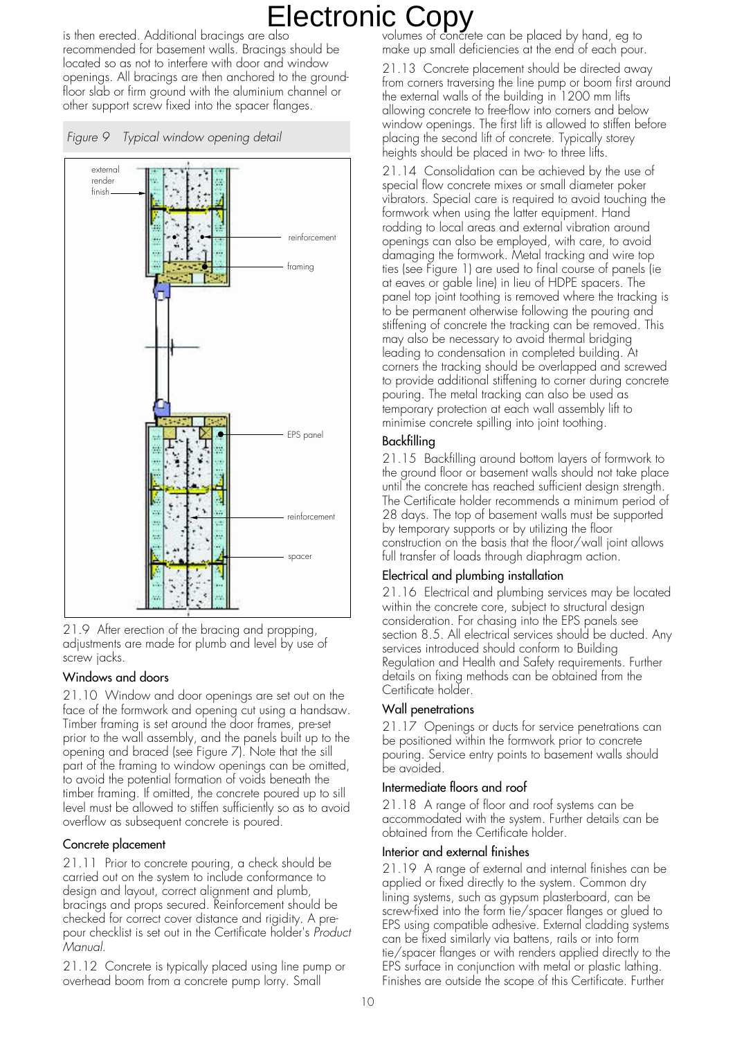is then erected. Additional bracings are also recommended for basement walls. Bracings should be located so as not to interfere with door and window openings. All bracings are then anchored to the groundfloor slab or firm ground with the aluminium channel or other support screw fixed into the spacer flanges.





21.9 After erection of the bracing and propping, adjustments are made for plumb and level by use of screw jacks.

#### Windows and doors

21.10 Window and door openings are set out on the face of the formwork and opening cut using a handsaw. Timber framing is set around the door frames, pre-set prior to the wall assembly, and the panels built up to the opening and braced (see Figure 7). Note that the sill part of the framing to window openings can be omitted, to avoid the potential formation of voids beneath the timber framing. If omitted, the concrete poured up to sill level must be allowed to stiffen sufficiently so as to avoid overflow as subsequent concrete is poured.

#### Concrete placement

21.11 Prior to concrete pouring, a check should be carried out on the system to include conformance to design and layout, correct alignment and plumb, bracings and props secured. Reinforcement should be checked for correct cover distance and rigidity. A prepour checklist is set out in the Certificate holder's Product Manual.

21.12 Concrete is typically placed using line pump or overhead boom from a concrete pump lorry. Small

volumes of concrete can be placed by hand, eg to make up small deficiencies at the end of each pour.

21.13 Concrete placement should be directed away from corners traversing the line pump or boom first around the external walls of the building in 1200 mm lifts allowing concrete to free-flow into corners and below window openings. The first lift is allowed to stiffen before placing the second lift of concrete. Typically storey heights should be placed in two- to three lifts.

21.14 Consolidation can be achieved by the use of special flow concrete mixes or small diameter poker vibrators. Special care is required to avoid touching the formwork when using the latter equipment. Hand rodding to local areas and external vibration around openings can also be employed, with care, to avoid damaging the formwork. Metal tracking and wire top ties (see Figure 1) are used to final course of panels (ie at eaves or gable line) in lieu of HDPE spacers. The panel top joint toothing is removed where the tracking is to be permanent otherwise following the pouring and stiffening of concrete the tracking can be removed. This may also be necessary to avoid thermal bridging leading to condensation in completed building. At corners the tracking should be overlapped and screwed to provide additional stiffening to corner during concrete pouring. The metal tracking can also be used as temporary protection at each wall assembly lift to minimise concrete spilling into joint toothing.

#### Backfilling

21.15 Backfilling around bottom layers of formwork to the ground floor or basement walls should not take place until the concrete has reached sufficient design strength. The Certificate holder recommends a minimum period of 28 days. The top of basement walls must be supported by temporary supports or by utilizing the floor construction on the basis that the floor/wall joint allows full transfer of loads through diaphragm action.

#### Electrical and plumbing installation

21.16 Electrical and plumbing services may be located within the concrete core, subject to structural design consideration. For chasing into the EPS panels see section 8.5. All electrical services should be ducted. Any services introduced should conform to Building Regulation and Health and Safety requirements. Further details on fixing methods can be obtained from the Certificate holder.

#### Wall penetrations

21.17 Openings or ducts for service penetrations can be positioned within the formwork prior to concrete pouring. Service entry points to basement walls should be avoided.

#### Intermediate floors and roof

21.18 A range of floor and roof systems can be accommodated with the system. Further details can be obtained from the Certificate holder.

#### Interior and external finishes

21.19 A range of external and internal finishes can be applied or fixed directly to the system. Common dry lining systems, such as gypsum plasterboard, can be screw-fixed into the form tie/spacer flanges or glued to EPS using compatible adhesive. External cladding systems can be fixed similarly via battens, rails or into form tie/spacer flanges or with renders applied directly to the EPS surface in conjunction with metal or plastic lathing. Finishes are outside the scope of this Certificate. Further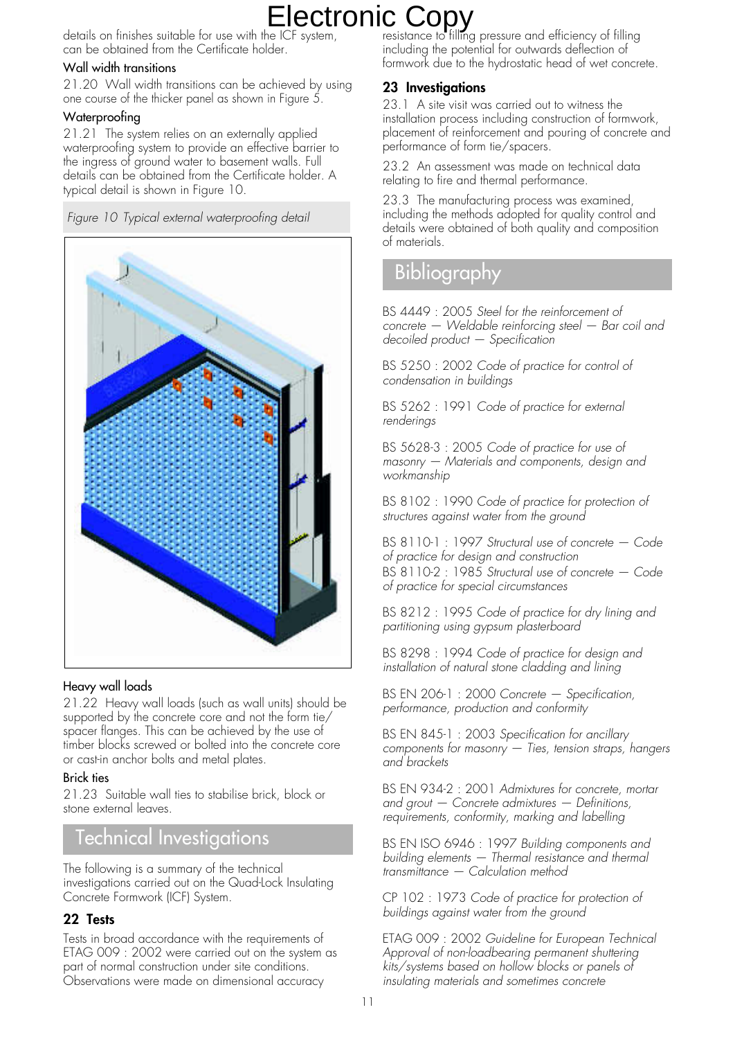details on finishes suitable for use with the ICF system, can be obtained from the Certificate holder.

#### Wall width transitions

21.20 Wall width transitions can be achieved by using one course of the thicker panel as shown in Figure 5.

#### Waterproofing

21.21 The system relies on an externally applied waterproofing system to provide an effective barrier to the ingress of ground water to basement walls. Full details can be obtained from the Certificate holder. A typical detail is shown in Figure 10.

Figure 10 Typical external waterproofing detail



#### Heavy wall loads

21.22 Heavy wall loads (such as wall units) should be supported by the concrete core and not the form tie/ spacer flanges. This can be achieved by the use of timber blocks screwed or bolted into the concrete core or cast-in anchor bolts and metal plates.

#### Brick ties

21.23 Suitable wall ties to stabilise brick, block or stone external leaves.

### Technical Investigations

The following is a summary of the technical investigations carried out on the Quad-Lock Insulating Concrete Formwork (ICF) System.

#### **22 Tests**

Tests in broad accordance with the requirements of ETAG 009 : 2002 were carried out on the system as part of normal construction under site conditions. Observations were made on dimensional accuracy

resistance to filling pressure and efficiency of filling including the potential for outwards deflection of formwork due to the hydrostatic head of wet concrete.

### **23 Investigations**

23.1 A site visit was carried out to witness the installation process including construction of formwork, placement of reinforcement and pouring of concrete and performance of form tie/spacers.

23.2 An assessment was made on technical data relating to fire and thermal performance.

23.3 The manufacturing process was examined, including the methods adopted for quality control and details were obtained of both quality and composition of materials.

## **Bibliography**

BS 4449 : 2005 Steel for the reinforcement of concrete — Weldable reinforcing steel — Bar coil and decoiled product — Specification

BS 5250 : 2002 Code of practice for control of condensation in buildings

BS 5262 : 1991 Code of practice for external renderings

BS 5628-3 : 2005 Code of practice for use of masonry — Materials and components, design and workmanship

BS 8102 : 1990 Code of practice for protection of structures against water from the ground

BS 8110-1 : 1997 Structural use of concrete — Code of practice for design and construction BS 8110-2 : 1985 Structural use of concrete - Code of practice for special circumstances

BS 8212 : 1995 Code of practice for dry lining and partitioning using gypsum plasterboard

BS 8298 : 1994 Code of practice for design and installation of natural stone cladding and lining

BS EN 206-1 : 2000 Concrete — Specification, performance, production and conformity

BS EN 845-1 : 2003 Specification for ancillary components for masonry — Ties, tension straps, hangers and brackets

BS EN 934-2 : 2001 Admixtures for concrete, mortar and grout  $-$  Concrete admixtures  $-$  Definitions, requirements, conformity, marking and labelling

BS EN ISO 6946 : 1997 Building components and building elements - Thermal resistance and thermal transmittance — Calculation method

CP 102 : 1973 Code of practice for protection of buildings against water from the ground

ETAG 009 : 2002 Guideline for European Technical Approval of non-loadbearing permanent shuttering kits/systems based on hollow blocks or panels of insulating materials and sometimes concrete